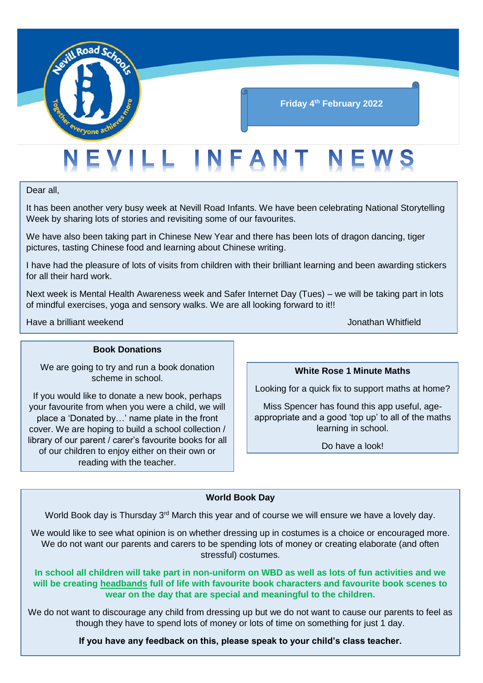

### **Friday 4th February 2022**

## EVILL INFANT NEWS

Dear all,

It has been another very busy week at Nevill Road Infants. We have been celebrating National Storytelling Week by sharing lots of stories and revisiting some of our favourites.

We have also been taking part in Chinese New Year and there has been lots of dragon dancing, tiger pictures, tasting Chinese food and learning about Chinese writing.

I have had the pleasure of lots of visits from children with their brilliant learning and been awarding stickers for all their hard work.

Next week is Mental Health Awareness week and Safer Internet Day (Tues) – we will be taking part in lots of mindful exercises, yoga and sensory walks. We are all looking forward to it!!

Have a brilliant weekend Jonathan Whitfield

#### **Book Donations**

We are going to try and run a book donation scheme in school.

If you would like to donate a new book, perhaps your favourite from when you were a child, we will place a 'Donated by…' name plate in the front cover. We are hoping to build a school collection / library of our parent / carer's favourite books for all of our children to enjoy either on their own or reading with the teacher.

**White Rose 1 Minute Maths**

Looking for a quick fix to support maths at home?

Miss Spencer has found this app useful, ageappropriate and a good 'top up' to all of the maths learning in school.

Do have a look!

#### **World Book Day**

World Book day is Thursday  $3<sup>rd</sup>$  March this year and of course we will ensure we have a lovely day.

We would like to see what opinion is on whether dressing up in costumes is a choice or encouraged more. We do not want our parents and carers to be spending lots of money or creating elaborate (and often stressful) costumes.

**In school all children will take part in non-uniform on WBD as well as lots of fun activities and we will be creating headbands full of life with favourite book characters and favourite book scenes to wear on the day that are special and meaningful to the children.**

We do not want to discourage any child from dressing up but we do not want to cause our parents to feel as though they have to spend lots of money or lots of time on something for just 1 day.

**If you have any feedback on this, please speak to your child's class teacher.**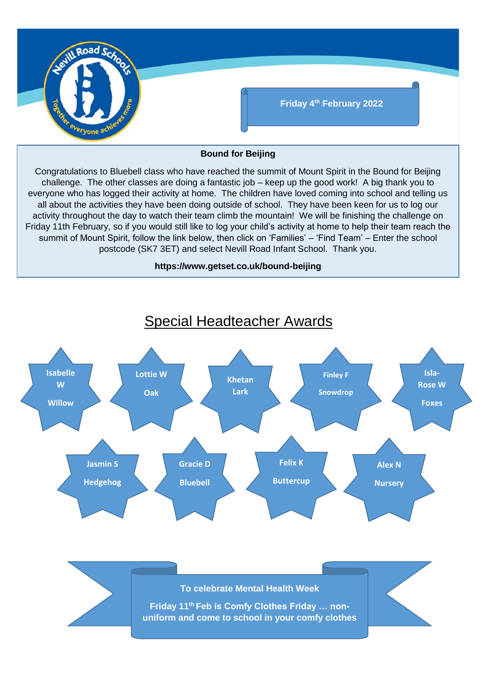

#### **Bound for Beijing**

Congratulations to Bluebell class who have reached the summit of Mount Spirit in the Bound for Beijing challenge. The other classes are doing a fantastic job – keep up the good work! A big thank you to everyone who has logged their activity at home. The children have loved coming into school and telling us all about the activities they have been doing outside of school. They have been keen for us to log our activity throughout the day to watch their team climb the mountain! We will be finishing the challenge on Friday 11th February, so if you would still like to log your child's activity at home to help their team reach the summit of Mount Spirit, follow the link below, then click on 'Families' – 'Find Team' – Enter the school postcode (SK7 3ET) and select Nevill Road Infant School. Thank you.

#### **https://www.getset.co.uk/bound-beijing**

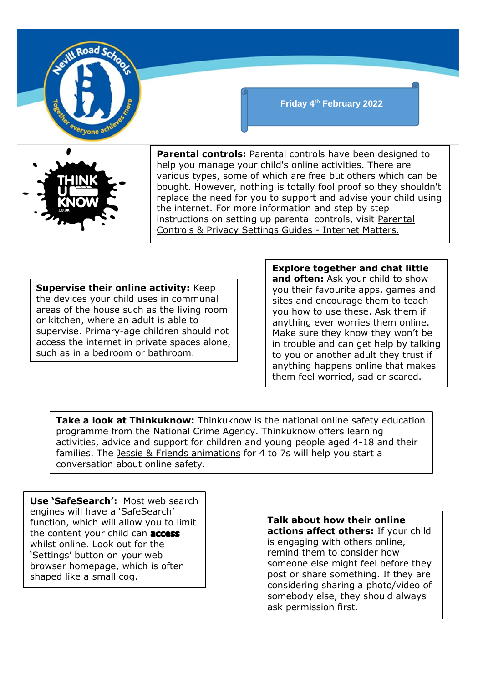

**Parental controls:** Parental controls have been designed to help you manage your child's online activities. There are various types, some of which are free but others which can be bought. However, nothing is totally fool proof so they shouldn't replace the need for you to support and advise your child using the internet. For more information and step by step instructions on setting up parental controls, visit [Parental](https://www.internetmatters.org/parental-controls/)  [Controls & Privacy Settings Guides -](https://www.internetmatters.org/parental-controls/) Internet Matters.

**Friday 4th February 2022**

**Supervise their online activity:** Keep the devices your child uses in communal areas of the house such as the living room or kitchen, where an adult is able to supervise. Primary-age children should not access the internet in private spaces alone, such as in a bedroom or bathroom.

#### **Explore together and chat little**

**and often:** Ask your child to show you their favourite apps, games and sites and encourage them to teach you how to use these. Ask them if anything ever worries them online. Make sure they know they won't be in trouble and can get help by talking to you or another adult they trust if anything happens online that makes them feel worried, sad or scared.

**Take a look at Thinkuknow:** Thinkuknow is the national online safety education programme from the National Crime Agency. Thinkuknow offers learning activities, advice and support for children and young people aged 4-18 and their families. The [Jessie & Friends animations](https://www.thinkuknow.co.uk/parents/jessie-and-friends-videos/) for 4 to 7s will help you start a conversation about online safety.

**Use 'SafeSearch':** Most web search engines will have a 'SafeSearch' function, which will allow you to limit the content your child can **access** whilst online. Look out for the 'Settings' button on your web browser homepage, which is often shaped like a small cog.

**Talk about how their online actions affect others:** If your child is engaging with others online, remind them to consider how someone else might feel before they post or share something. If they are considering sharing a photo/video of somebody else, they should always ask permission first.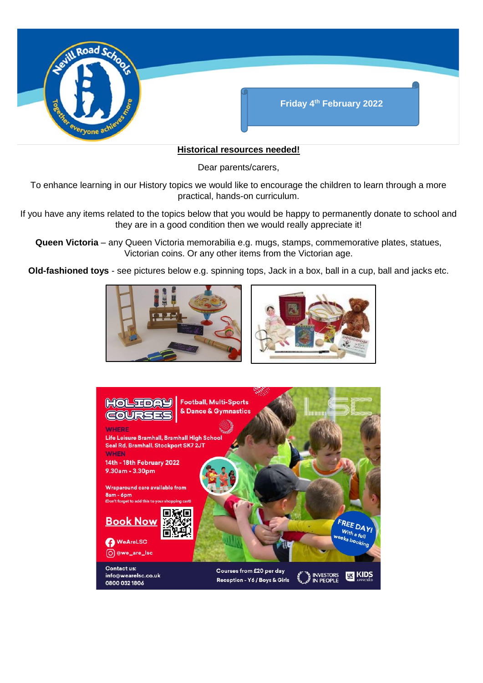

#### **Historical resources needed!**

Dear parents/carers,

To enhance learning in our History topics we would like to encourage the children to learn through a more practical, hands-on curriculum.

If you have any items related to the topics below that you would be happy to permanently donate to school and they are in a good condition then we would really appreciate it!

**Queen Victoria** – any Queen Victoria memorabilia e.g. mugs, stamps, commemorative plates, statues, Victorian coins. Or any other items from the Victorian age.

**Old-fashioned toys** - see pictures below e.g. spinning tops, Jack in a box, ball in a cup, ball and jacks etc.